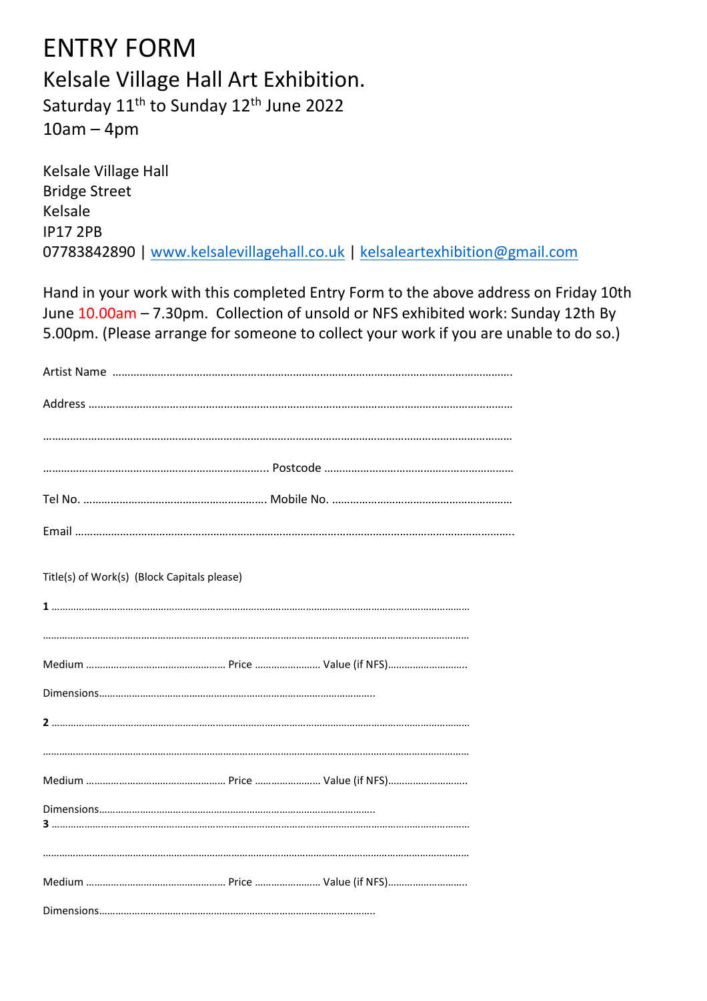## ENTRY FORM Kelsale Village Hall Art Exhibition. Saturday 11<sup>th</sup> to Sunday 12<sup>th</sup> June 2022 10am – 4pm

Kelsale Village Hall Bridge Street Kelsale IP17 2PB 07783842890 | [www.kelsalevillagehall.co.uk](http://www.kelsalevillagehall.co.uk/) | [kelsaleartexhibition@gmail.com](mailto:kelsaleartexhibition@gmail.com)

Hand in your work with this completed Entry Form to the above address on Friday 10th June 10.00am – 7.30pm. Collection of unsold or NFS exhibited work: Sunday 12th By 5.00pm. (Please arrange for someone to collect your work if you are unable to do so.)

| Title(s) of Work(s) (Block Capitals please) |
|---------------------------------------------|
|                                             |
|                                             |
|                                             |
|                                             |
|                                             |
|                                             |
|                                             |
|                                             |
|                                             |
|                                             |
|                                             |